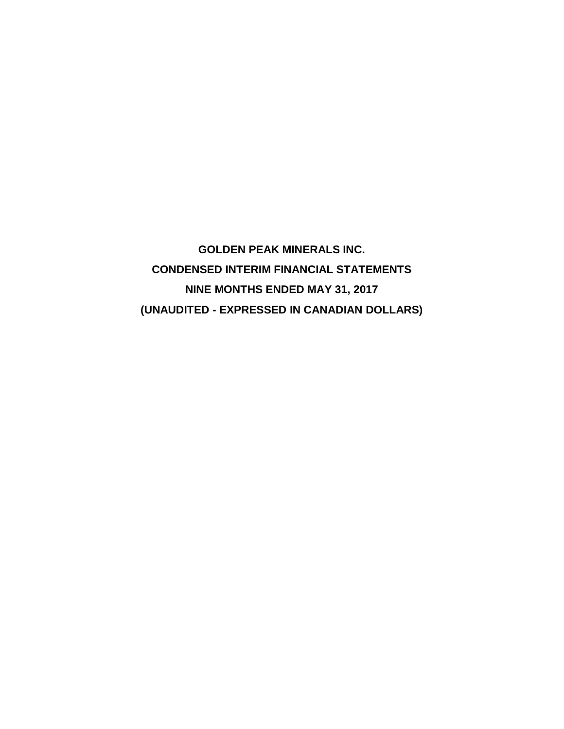**GOLDEN PEAK MINERALS INC. CONDENSED INTERIM FINANCIAL STATEMENTS NINE MONTHS ENDED MAY 31, 2017 (UNAUDITED - EXPRESSED IN CANADIAN DOLLARS)**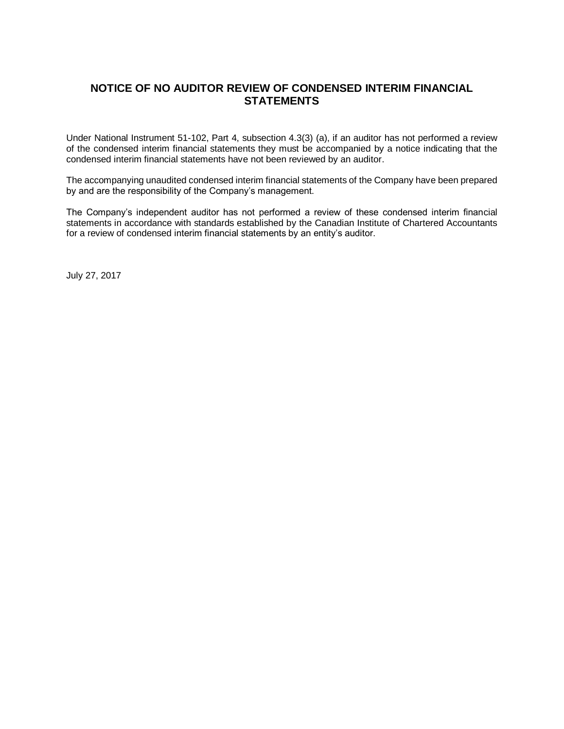# **NOTICE OF NO AUDITOR REVIEW OF CONDENSED INTERIM FINANCIAL STATEMENTS**

Under National Instrument 51-102, Part 4, subsection 4.3(3) (a), if an auditor has not performed a review of the condensed interim financial statements they must be accompanied by a notice indicating that the condensed interim financial statements have not been reviewed by an auditor.

The accompanying unaudited condensed interim financial statements of the Company have been prepared by and are the responsibility of the Company's management.

The Company's independent auditor has not performed a review of these condensed interim financial statements in accordance with standards established by the Canadian Institute of Chartered Accountants for a review of condensed interim financial statements by an entity's auditor.

July 27, 2017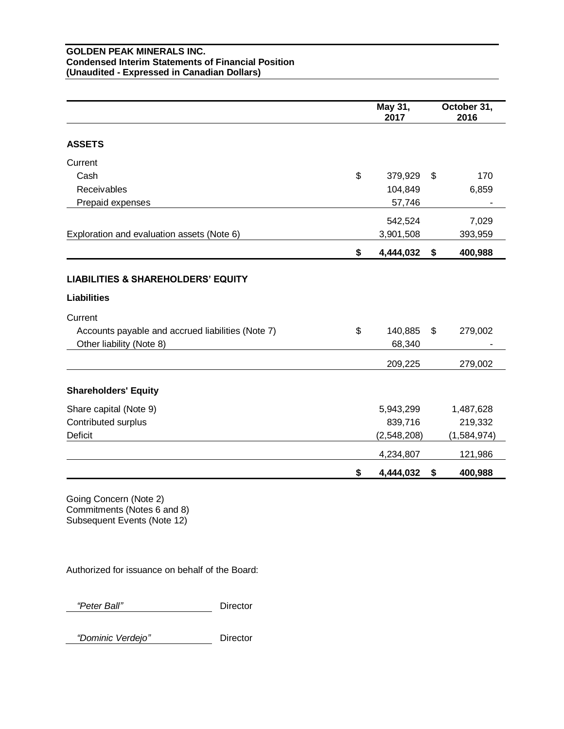### **GOLDEN PEAK MINERALS INC. Condensed Interim Statements of Financial Position (Unaudited - Expressed in Canadian Dollars)**

|                                                                     | May 31,<br>2017 | October 31,<br>2016 |
|---------------------------------------------------------------------|-----------------|---------------------|
| <b>ASSETS</b>                                                       |                 |                     |
| Current                                                             |                 |                     |
| Cash<br>\$                                                          | 379,929         | \$<br>170           |
| Receivables                                                         | 104,849         | 6,859               |
| Prepaid expenses                                                    | 57,746          |                     |
|                                                                     | 542,524         | 7,029               |
| Exploration and evaluation assets (Note 6)                          | 3,901,508       | 393,959             |
| \$                                                                  | 4,444,032       | \$<br>400,988       |
| <b>LIABILITIES &amp; SHAREHOLDERS' EQUITY</b><br><b>Liabilities</b> |                 |                     |
| Current                                                             |                 |                     |
| \$<br>Accounts payable and accrued liabilities (Note 7)             | 140,885         | \$<br>279,002       |
| Other liability (Note 8)                                            | 68,340          |                     |
|                                                                     | 209,225         | 279,002             |
| <b>Shareholders' Equity</b>                                         |                 |                     |
| Share capital (Note 9)                                              | 5,943,299       | 1,487,628           |
| Contributed surplus                                                 | 839,716         | 219,332             |
| <b>Deficit</b>                                                      | (2,548,208)     | (1,584,974)         |
|                                                                     | 4,234,807       | 121,986             |
| \$                                                                  | 4,444,032       | \$<br>400,988       |

Going Concern (Note 2) Commitments (Notes 6 and 8) Subsequent Events (Note 12)

Authorized for issuance on behalf of the Board:

 *"Peter Ball"* Director

 *"Dominic Verdejo"* Director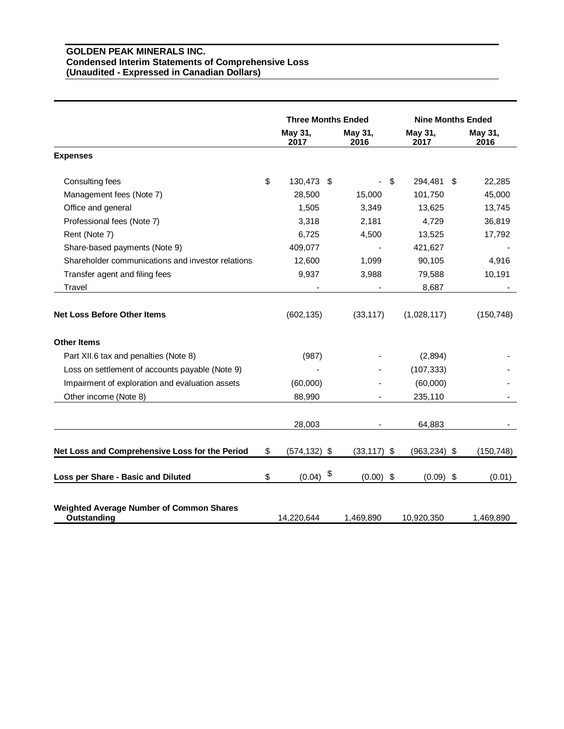## **GOLDEN PEAK MINERALS INC. Condensed Interim Statements of Comprehensive Loss (Unaudited - Expressed in Canadian Dollars)**

|                                                                | <b>Three Months Ended</b> |                 | <b>Nine Months Ended</b> |                 |  |
|----------------------------------------------------------------|---------------------------|-----------------|--------------------------|-----------------|--|
|                                                                | May 31,<br>2017           | May 31,<br>2016 | May 31,<br>2017          | May 31,<br>2016 |  |
| <b>Expenses</b>                                                |                           |                 |                          |                 |  |
| Consulting fees                                                | \$<br>130,473 \$          |                 | \$<br>294,481 \$         | 22,285          |  |
| Management fees (Note 7)                                       | 28,500                    | 15,000          | 101,750                  | 45,000          |  |
| Office and general                                             | 1,505                     | 3,349           | 13,625                   | 13,745          |  |
| Professional fees (Note 7)                                     | 3,318                     | 2,181           | 4,729                    | 36,819          |  |
| Rent (Note 7)                                                  | 6,725                     | 4,500           | 13,525                   | 17,792          |  |
| Share-based payments (Note 9)                                  | 409,077                   |                 | 421,627                  |                 |  |
| Shareholder communications and investor relations              | 12,600                    | 1,099           | 90,105                   | 4,916           |  |
| Transfer agent and filing fees                                 | 9,937                     | 3,988           | 79,588                   | 10,191          |  |
| Travel                                                         |                           |                 | 8,687                    |                 |  |
| <b>Net Loss Before Other Items</b>                             | (602, 135)                | (33, 117)       | (1,028,117)              | (150, 748)      |  |
| <b>Other Items</b>                                             |                           |                 |                          |                 |  |
| Part XII.6 tax and penalties (Note 8)                          | (987)                     |                 | (2,894)                  |                 |  |
| Loss on settlement of accounts payable (Note 9)                |                           |                 | (107, 333)               |                 |  |
| Impairment of exploration and evaluation assets                | (60,000)                  |                 | (60,000)                 |                 |  |
| Other income (Note 8)                                          | 88,990                    |                 | 235,110                  |                 |  |
|                                                                | 28,003                    |                 | 64,883                   |                 |  |
| Net Loss and Comprehensive Loss for the Period                 | \$<br>$(574, 132)$ \$     | $(33, 117)$ \$  | $(963, 234)$ \$          | (150, 748)      |  |
| Loss per Share - Basic and Diluted                             | \$<br>(0.04)              | \$<br>(0.00)    | \$<br>$(0.09)$ \$        | (0.01)          |  |
| <b>Weighted Average Number of Common Shares</b><br>Outstanding | 14,220,644                | 1,469,890       | 10,920,350               | 1,469,890       |  |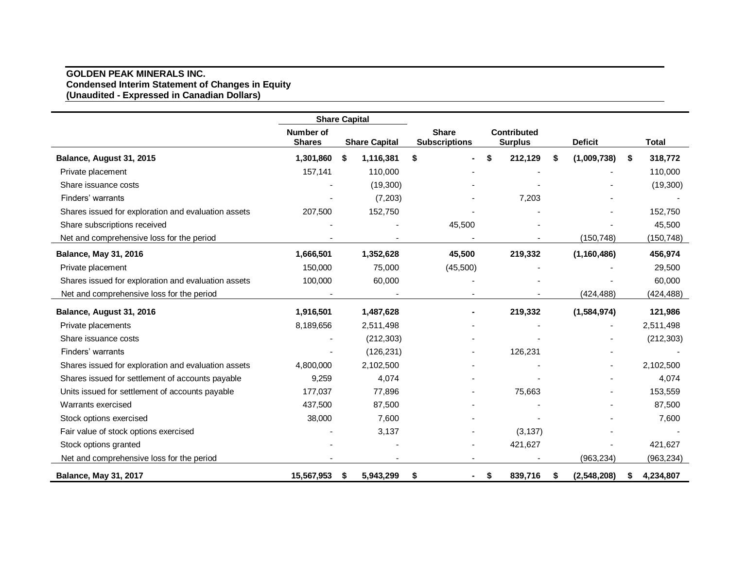#### **GOLDEN PEAK MINERALS INC. Condensed Interim Statement of Changes in Equity (Unaudited - Expressed in Canadian Dollars)**

|                                                     | <b>Share Capital</b>       |   |                      |                                                                       |          |      |          |                |               |              |            |
|-----------------------------------------------------|----------------------------|---|----------------------|-----------------------------------------------------------------------|----------|------|----------|----------------|---------------|--------------|------------|
|                                                     | Number of<br><b>Shares</b> |   | <b>Share Capital</b> | <b>Share</b><br>Contributed<br><b>Subscriptions</b><br><b>Surplus</b> |          |      |          | <b>Deficit</b> |               | <b>Total</b> |            |
| Balance, August 31, 2015                            | 1,301,860                  | S | 1,116,381            | \$                                                                    |          | \$   | 212,129  | S              | (1,009,738)   | S.           | 318,772    |
| Private placement                                   | 157,141                    |   | 110,000              |                                                                       |          |      |          |                |               |              | 110,000    |
| Share issuance costs                                |                            |   | (19,300)             |                                                                       |          |      |          |                |               |              | (19,300)   |
| Finders' warrants                                   |                            |   | (7,203)              |                                                                       |          |      | 7,203    |                |               |              |            |
| Shares issued for exploration and evaluation assets | 207,500                    |   | 152,750              |                                                                       |          |      |          |                |               |              | 152,750    |
| Share subscriptions received                        |                            |   |                      |                                                                       | 45,500   |      |          |                |               |              | 45,500     |
| Net and comprehensive loss for the period           |                            |   |                      |                                                                       |          |      |          |                | (150, 748)    |              | (150, 748) |
| <b>Balance, May 31, 2016</b>                        | 1,666,501                  |   | 1,352,628            |                                                                       | 45,500   |      | 219,332  |                | (1, 160, 486) |              | 456,974    |
| Private placement                                   | 150,000                    |   | 75,000               |                                                                       | (45,500) |      |          |                |               |              | 29,500     |
| Shares issued for exploration and evaluation assets | 100,000                    |   | 60,000               |                                                                       |          |      |          |                |               |              | 60,000     |
| Net and comprehensive loss for the period           |                            |   |                      |                                                                       |          |      |          |                | (424, 488)    |              | (424, 488) |
| Balance, August 31, 2016                            | 1,916,501                  |   | 1,487,628            |                                                                       |          |      | 219,332  |                | (1,584,974)   |              | 121,986    |
| Private placements                                  | 8,189,656                  |   | 2,511,498            |                                                                       |          |      |          |                |               |              | 2,511,498  |
| Share issuance costs                                |                            |   | (212, 303)           |                                                                       |          |      |          |                |               |              | (212, 303) |
| Finders' warrants                                   |                            |   | (126, 231)           |                                                                       |          |      | 126,231  |                |               |              |            |
| Shares issued for exploration and evaluation assets | 4,800,000                  |   | 2,102,500            |                                                                       |          |      |          |                |               |              | 2,102,500  |
| Shares issued for settlement of accounts payable    | 9,259                      |   | 4,074                |                                                                       |          |      |          |                |               |              | 4,074      |
| Units issued for settlement of accounts payable     | 177,037                    |   | 77,896               |                                                                       |          |      | 75,663   |                |               |              | 153,559    |
| Warrants exercised                                  | 437,500                    |   | 87,500               |                                                                       |          |      |          |                |               |              | 87,500     |
| Stock options exercised                             | 38,000                     |   | 7,600                |                                                                       |          |      |          |                |               |              | 7,600      |
| Fair value of stock options exercised               |                            |   | 3,137                |                                                                       |          |      | (3, 137) |                |               |              |            |
| Stock options granted                               |                            |   |                      |                                                                       |          |      | 421,627  |                |               |              | 421,627    |
| Net and comprehensive loss for the period           |                            |   |                      |                                                                       |          |      |          |                | (963, 234)    |              | (963, 234) |
| <b>Balance, May 31, 2017</b>                        | 15,567,953                 | S | 5,943,299            | \$                                                                    |          | - \$ | 839,716  | S              | (2,548,208)   | S            | 4,234,807  |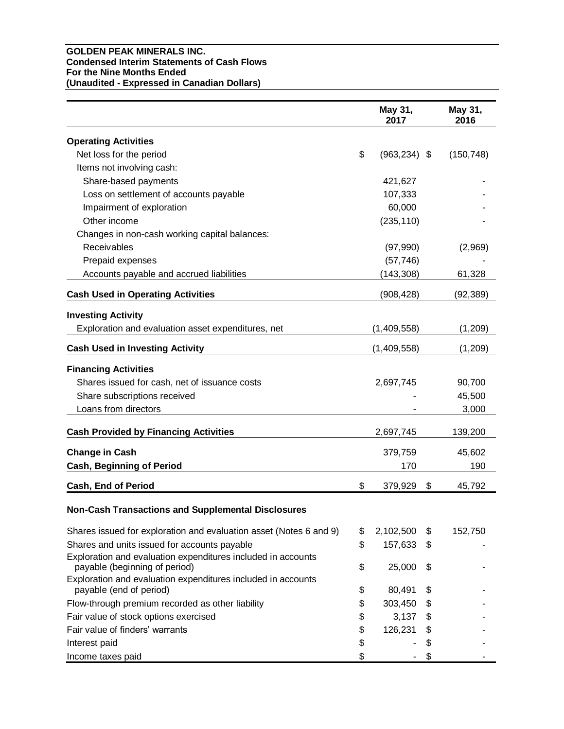### **GOLDEN PEAK MINERALS INC. Condensed Interim Statements of Cash Flows For the Nine Months Ended (Unaudited - Expressed in Canadian Dollars)**

|                                                                                               | May 31,<br>2017       | May 31,<br>2016 |
|-----------------------------------------------------------------------------------------------|-----------------------|-----------------|
| <b>Operating Activities</b>                                                                   |                       |                 |
| Net loss for the period                                                                       | \$<br>$(963, 234)$ \$ | (150, 748)      |
| Items not involving cash:                                                                     |                       |                 |
| Share-based payments                                                                          | 421,627               |                 |
| Loss on settlement of accounts payable                                                        | 107,333               |                 |
| Impairment of exploration                                                                     | 60,000                |                 |
| Other income                                                                                  | (235, 110)            |                 |
| Changes in non-cash working capital balances:                                                 |                       |                 |
| Receivables                                                                                   | (97, 990)             | (2,969)         |
| Prepaid expenses                                                                              | (57, 746)             |                 |
| Accounts payable and accrued liabilities                                                      | (143, 308)            | 61,328          |
| <b>Cash Used in Operating Activities</b>                                                      | (908, 428)            | (92, 389)       |
| <b>Investing Activity</b>                                                                     |                       |                 |
| Exploration and evaluation asset expenditures, net                                            | (1,409,558)           | (1,209)         |
| <b>Cash Used in Investing Activity</b>                                                        | (1,409,558)           | (1,209)         |
| <b>Financing Activities</b>                                                                   |                       |                 |
| Shares issued for cash, net of issuance costs                                                 | 2,697,745             | 90,700          |
| Share subscriptions received                                                                  |                       | 45,500          |
| Loans from directors                                                                          |                       | 3,000           |
| <b>Cash Provided by Financing Activities</b>                                                  | 2,697,745             | 139,200         |
| <b>Change in Cash</b>                                                                         | 379,759               | 45,602          |
| <b>Cash, Beginning of Period</b>                                                              | 170                   | 190             |
|                                                                                               |                       |                 |
| Cash, End of Period                                                                           | \$<br>379,929         | \$<br>45,792    |
| <b>Non-Cash Transactions and Supplemental Disclosures</b>                                     |                       |                 |
| Shares issued for exploration and evaluation asset (Notes 6 and 9)                            | \$<br>2,102,500       | \$<br>152,750   |
| Shares and units issued for accounts payable                                                  | \$<br>157,633         | \$              |
| Exploration and evaluation expenditures included in accounts<br>payable (beginning of period) | \$<br>25,000          | \$              |
| Exploration and evaluation expenditures included in accounts<br>payable (end of period)       | \$<br>80,491          | \$              |
| Flow-through premium recorded as other liability                                              | \$<br>303,450         | \$              |
| Fair value of stock options exercised                                                         | \$<br>3,137           | \$              |
| Fair value of finders' warrants                                                               | \$<br>126,231         | \$              |
| Interest paid                                                                                 | \$                    | \$              |
| Income taxes paid                                                                             | \$                    | \$              |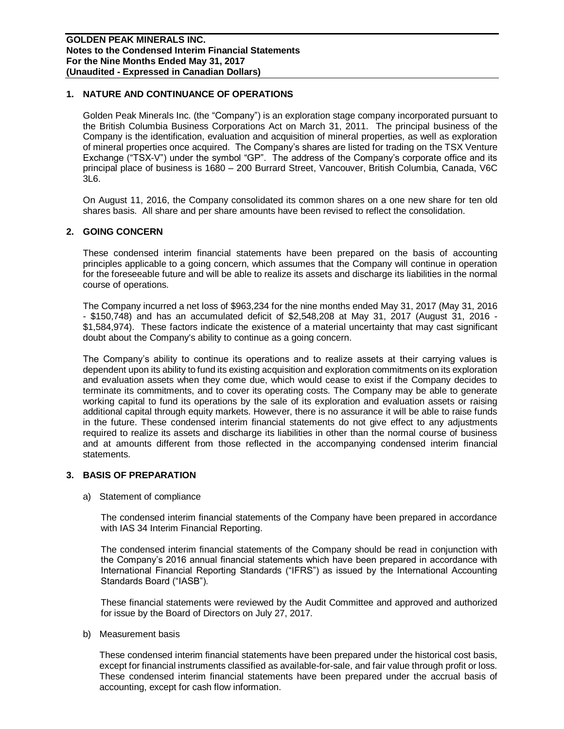# **1. NATURE AND CONTINUANCE OF OPERATIONS**

Golden Peak Minerals Inc. (the "Company") is an exploration stage company incorporated pursuant to the British Columbia Business Corporations Act on March 31, 2011. The principal business of the Company is the identification, evaluation and acquisition of mineral properties, as well as exploration of mineral properties once acquired. The Company's shares are listed for trading on the TSX Venture Exchange ("TSX-V") under the symbol "GP". The address of the Company's corporate office and its principal place of business is 1680 – 200 Burrard Street, Vancouver, British Columbia, Canada, V6C 3L6.

On August 11, 2016, the Company consolidated its common shares on a one new share for ten old shares basis. All share and per share amounts have been revised to reflect the consolidation.

#### **2. GOING CONCERN**

These condensed interim financial statements have been prepared on the basis of accounting principles applicable to a going concern, which assumes that the Company will continue in operation for the foreseeable future and will be able to realize its assets and discharge its liabilities in the normal course of operations.

The Company incurred a net loss of \$963,234 for the nine months ended May 31, 2017 (May 31, 2016 - \$150,748) and has an accumulated deficit of \$2,548,208 at May 31, 2017 (August 31, 2016 - \$1,584,974). These factors indicate the existence of a material uncertainty that may cast significant doubt about the Company's ability to continue as a going concern.

The Company's ability to continue its operations and to realize assets at their carrying values is dependent upon its ability to fund its existing acquisition and exploration commitments on its exploration and evaluation assets when they come due, which would cease to exist if the Company decides to terminate its commitments, and to cover its operating costs. The Company may be able to generate working capital to fund its operations by the sale of its exploration and evaluation assets or raising additional capital through equity markets. However, there is no assurance it will be able to raise funds in the future. These condensed interim financial statements do not give effect to any adjustments required to realize its assets and discharge its liabilities in other than the normal course of business and at amounts different from those reflected in the accompanying condensed interim financial statements.

#### **3. BASIS OF PREPARATION**

a) Statement of compliance

The condensed interim financial statements of the Company have been prepared in accordance with IAS 34 Interim Financial Reporting.

The condensed interim financial statements of the Company should be read in conjunction with the Company's 2016 annual financial statements which have been prepared in accordance with International Financial Reporting Standards ("IFRS") as issued by the International Accounting Standards Board ("IASB").

These financial statements were reviewed by the Audit Committee and approved and authorized for issue by the Board of Directors on July 27, 2017.

b) Measurement basis

These condensed interim financial statements have been prepared under the historical cost basis, except for financial instruments classified as available-for-sale, and fair value through profit or loss. These condensed interim financial statements have been prepared under the accrual basis of accounting, except for cash flow information.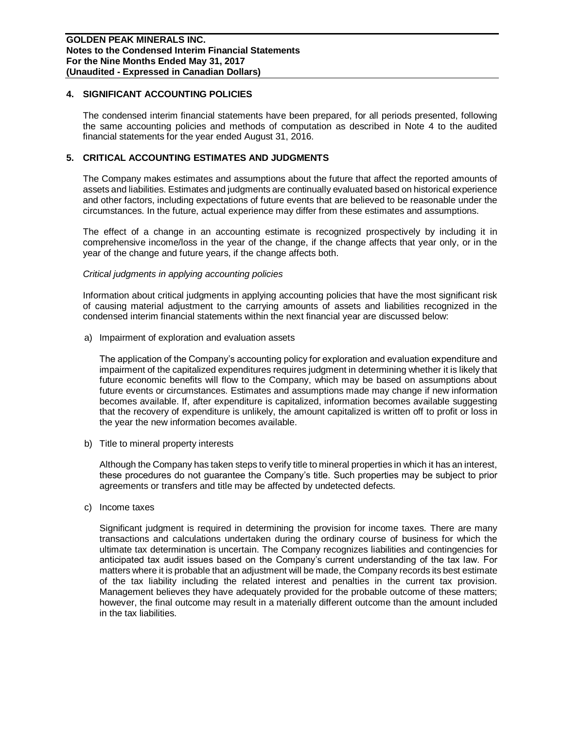### **4. SIGNIFICANT ACCOUNTING POLICIES**

The condensed interim financial statements have been prepared, for all periods presented, following the same accounting policies and methods of computation as described in Note 4 to the audited financial statements for the year ended August 31, 2016.

### **5. CRITICAL ACCOUNTING ESTIMATES AND JUDGMENTS**

The Company makes estimates and assumptions about the future that affect the reported amounts of assets and liabilities. Estimates and judgments are continually evaluated based on historical experience and other factors, including expectations of future events that are believed to be reasonable under the circumstances. In the future, actual experience may differ from these estimates and assumptions.

The effect of a change in an accounting estimate is recognized prospectively by including it in comprehensive income/loss in the year of the change, if the change affects that year only, or in the year of the change and future years, if the change affects both.

#### *Critical judgments in applying accounting policies*

Information about critical judgments in applying accounting policies that have the most significant risk of causing material adjustment to the carrying amounts of assets and liabilities recognized in the condensed interim financial statements within the next financial year are discussed below:

a) Impairment of exploration and evaluation assets

The application of the Company's accounting policy for exploration and evaluation expenditure and impairment of the capitalized expenditures requires judgment in determining whether it is likely that future economic benefits will flow to the Company, which may be based on assumptions about future events or circumstances. Estimates and assumptions made may change if new information becomes available. If, after expenditure is capitalized, information becomes available suggesting that the recovery of expenditure is unlikely, the amount capitalized is written off to profit or loss in the year the new information becomes available.

b) Title to mineral property interests

Although the Company has taken steps to verify title to mineral properties in which it has an interest, these procedures do not guarantee the Company's title. Such properties may be subject to prior agreements or transfers and title may be affected by undetected defects.

c) Income taxes

Significant judgment is required in determining the provision for income taxes. There are many transactions and calculations undertaken during the ordinary course of business for which the ultimate tax determination is uncertain. The Company recognizes liabilities and contingencies for anticipated tax audit issues based on the Company's current understanding of the tax law. For matters where it is probable that an adjustment will be made, the Company records its best estimate of the tax liability including the related interest and penalties in the current tax provision. Management believes they have adequately provided for the probable outcome of these matters; however, the final outcome may result in a materially different outcome than the amount included in the tax liabilities.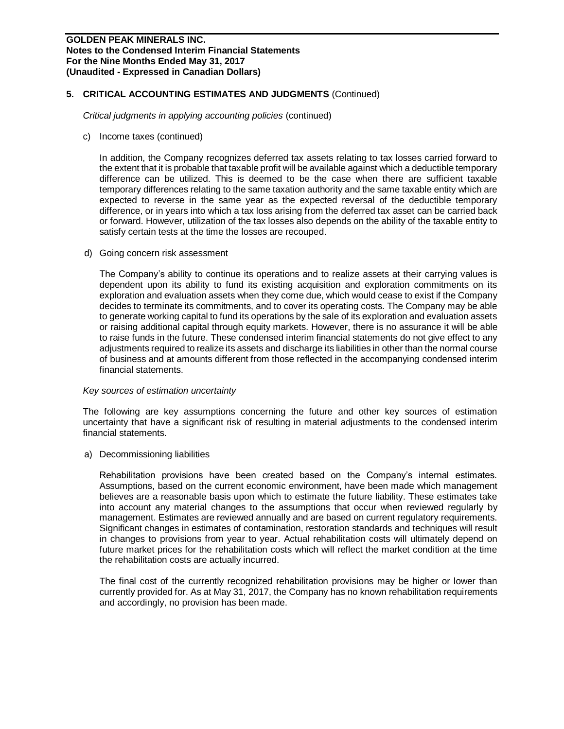# **5. CRITICAL ACCOUNTING ESTIMATES AND JUDGMENTS** (Continued)

*Critical judgments in applying accounting policies* (continued)

c) Income taxes (continued)

In addition, the Company recognizes deferred tax assets relating to tax losses carried forward to the extent that it is probable that taxable profit will be available against which a deductible temporary difference can be utilized. This is deemed to be the case when there are sufficient taxable temporary differences relating to the same taxation authority and the same taxable entity which are expected to reverse in the same year as the expected reversal of the deductible temporary difference, or in years into which a tax loss arising from the deferred tax asset can be carried back or forward. However, utilization of the tax losses also depends on the ability of the taxable entity to satisfy certain tests at the time the losses are recouped.

d) Going concern risk assessment

The Company's ability to continue its operations and to realize assets at their carrying values is dependent upon its ability to fund its existing acquisition and exploration commitments on its exploration and evaluation assets when they come due, which would cease to exist if the Company decides to terminate its commitments, and to cover its operating costs. The Company may be able to generate working capital to fund its operations by the sale of its exploration and evaluation assets or raising additional capital through equity markets. However, there is no assurance it will be able to raise funds in the future. These condensed interim financial statements do not give effect to any adjustments required to realize its assets and discharge its liabilities in other than the normal course of business and at amounts different from those reflected in the accompanying condensed interim financial statements.

#### *Key sources of estimation uncertainty*

The following are key assumptions concerning the future and other key sources of estimation uncertainty that have a significant risk of resulting in material adjustments to the condensed interim financial statements.

a) Decommissioning liabilities

Rehabilitation provisions have been created based on the Company's internal estimates. Assumptions, based on the current economic environment, have been made which management believes are a reasonable basis upon which to estimate the future liability. These estimates take into account any material changes to the assumptions that occur when reviewed regularly by management. Estimates are reviewed annually and are based on current regulatory requirements. Significant changes in estimates of contamination, restoration standards and techniques will result in changes to provisions from year to year. Actual rehabilitation costs will ultimately depend on future market prices for the rehabilitation costs which will reflect the market condition at the time the rehabilitation costs are actually incurred.

The final cost of the currently recognized rehabilitation provisions may be higher or lower than currently provided for. As at May 31, 2017, the Company has no known rehabilitation requirements and accordingly, no provision has been made.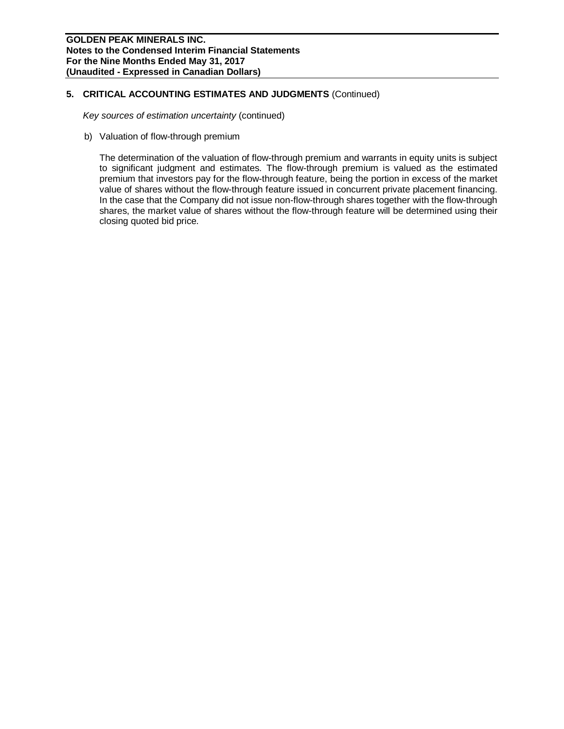# **5. CRITICAL ACCOUNTING ESTIMATES AND JUDGMENTS** (Continued)

*Key sources of estimation uncertainty* (continued)

b) Valuation of flow-through premium

The determination of the valuation of flow-through premium and warrants in equity units is subject to significant judgment and estimates. The flow-through premium is valued as the estimated premium that investors pay for the flow-through feature, being the portion in excess of the market value of shares without the flow-through feature issued in concurrent private placement financing. In the case that the Company did not issue non-flow-through shares together with the flow-through shares, the market value of shares without the flow-through feature will be determined using their closing quoted bid price.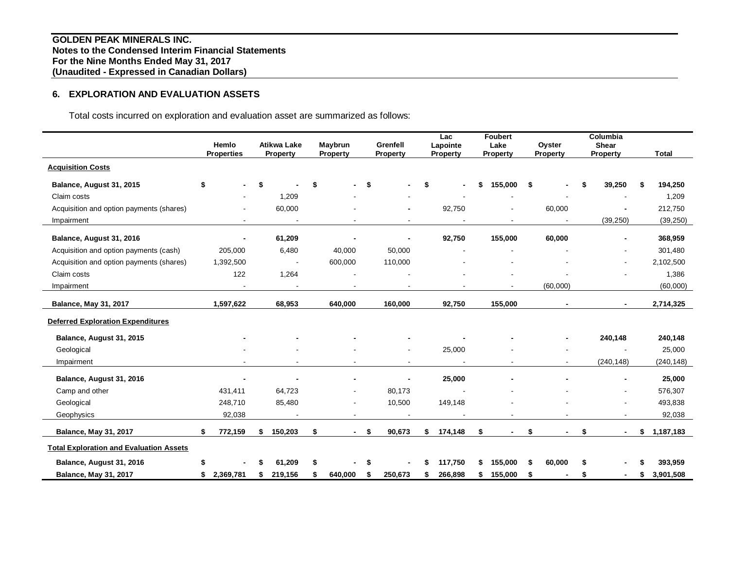# **6. EXPLORATION AND EVALUATION ASSETS**

Total costs incurred on exploration and evaluation asset are summarized as follows:

|                                                | Hemlo<br><b>Properties</b>     | <b>Atikwa Lake</b><br>Property | Maybrun<br>Property            |    | Grenfell<br>Property | Lac<br>Lapointe<br><b>Property</b> | <b>Foubert</b><br>Lake<br>Property |     | Oyster<br>Property | Columbia<br><b>Shear</b><br>Property | <b>Total</b>    |
|------------------------------------------------|--------------------------------|--------------------------------|--------------------------------|----|----------------------|------------------------------------|------------------------------------|-----|--------------------|--------------------------------------|-----------------|
| <b>Acquisition Costs</b>                       |                                |                                |                                |    |                      |                                    |                                    |     |                    |                                      |                 |
| Balance, August 31, 2015                       | \$<br>$\overline{\phantom{0}}$ | \$                             | \$                             | \$ |                      | \$<br>$\blacksquare$               | 155,000                            | \$  |                    | 39,250                               | \$<br>194,250   |
| Claim costs                                    |                                | 1,209                          |                                |    |                      |                                    |                                    |     |                    |                                      | 1,209           |
| Acquisition and option payments (shares)       |                                | 60,000                         |                                |    |                      | 92,750                             |                                    |     | 60,000             |                                      | 212,750         |
| Impairment                                     |                                |                                |                                |    |                      |                                    |                                    |     |                    | (39, 250)                            | (39, 250)       |
| Balance, August 31, 2016                       |                                | 61,209                         |                                |    |                      | 92,750                             | 155,000                            |     | 60,000             |                                      | 368,959         |
| Acquisition and option payments (cash)         | 205,000                        | 6,480                          | 40,000                         |    | 50,000               |                                    |                                    |     |                    |                                      | 301,480         |
| Acquisition and option payments (shares)       | 1,392,500                      |                                | 600,000                        |    | 110,000              |                                    |                                    |     |                    |                                      | 2,102,500       |
| Claim costs                                    | 122                            | 1,264                          |                                |    |                      |                                    |                                    |     |                    |                                      | 1,386           |
| Impairment                                     | $\blacksquare$                 | $\blacksquare$                 |                                |    |                      |                                    |                                    |     | (60,000)           |                                      | (60,000)        |
|                                                |                                |                                |                                |    |                      |                                    |                                    |     |                    |                                      |                 |
| <b>Balance, May 31, 2017</b>                   | 1,597,622                      | 68,953                         | 640,000                        |    | 160,000              | 92,750                             | 155,000                            |     |                    |                                      | 2,714,325       |
| <b>Deferred Exploration Expenditures</b>       |                                |                                |                                |    |                      |                                    |                                    |     |                    |                                      |                 |
| Balance, August 31, 2015                       |                                |                                |                                |    |                      |                                    |                                    |     | $\blacksquare$     | 240,148                              | 240,148         |
| Geological                                     |                                |                                |                                |    |                      | 25,000                             |                                    |     |                    | $\overline{\phantom{a}}$             | 25,000          |
| Impairment                                     |                                |                                |                                |    | $\blacksquare$       |                                    |                                    |     |                    | (240, 148)                           | (240, 148)      |
| Balance, August 31, 2016                       | ٠                              |                                | $\blacksquare$                 |    | $\blacksquare$       | 25,000                             |                                    |     |                    | $\blacksquare$                       | 25,000          |
| Camp and other                                 | 431,411                        | 64,723                         |                                |    | 80,173               |                                    |                                    |     |                    | $\blacksquare$                       | 576,307         |
| Geological                                     | 248,710                        | 85,480                         | $\blacksquare$                 |    | 10,500               | 149,148                            |                                    |     |                    | $\blacksquare$                       | 493,838         |
| Geophysics                                     | 92,038                         |                                |                                |    |                      |                                    |                                    |     |                    |                                      | 92,038          |
| <b>Balance, May 31, 2017</b>                   | \$<br>772,159                  | \$<br>150,203                  | \$<br>$\overline{\phantom{a}}$ | \$ | 90,673               | \$<br>174,148                      | \$                                 | \$  | $\blacksquare$     | \$<br>$\blacksquare$                 | \$<br>1,187,183 |
| <b>Total Exploration and Evaluation Assets</b> |                                |                                |                                |    |                      |                                    |                                    |     |                    |                                      |                 |
| Balance, August 31, 2016                       | \$                             | 61,209                         | \$                             | S  |                      | 117,750                            | \$<br>155.000                      | \$. | 60,000             |                                      | 393,959         |
| <b>Balance, May 31, 2017</b>                   | \$<br>2,369,781                | \$<br>219,156                  | 640,000                        | \$ | 250,673              | 266,898                            | \$<br>155.000                      | \$  |                    |                                      | \$<br>3.901.508 |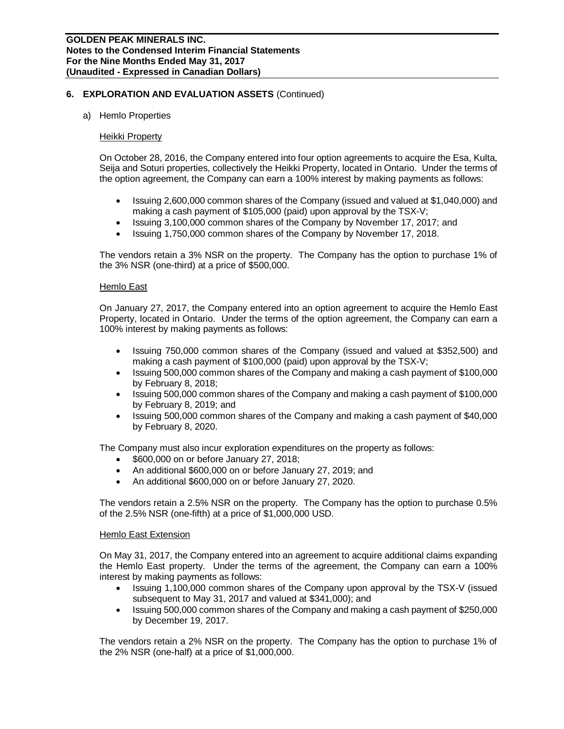#### a) Hemlo Properties

#### **Heikki Property**

On October 28, 2016, the Company entered into four option agreements to acquire the Esa, Kulta, Seija and Soturi properties, collectively the Heikki Property, located in Ontario. Under the terms of the option agreement, the Company can earn a 100% interest by making payments as follows:

- Issuing 2,600,000 common shares of the Company (issued and valued at \$1,040,000) and making a cash payment of \$105,000 (paid) upon approval by the TSX-V;
- Issuing 3,100,000 common shares of the Company by November 17, 2017; and
- Issuing 1,750,000 common shares of the Company by November 17, 2018.

The vendors retain a 3% NSR on the property. The Company has the option to purchase 1% of the 3% NSR (one-third) at a price of \$500,000.

#### Hemlo East

On January 27, 2017, the Company entered into an option agreement to acquire the Hemlo East Property, located in Ontario. Under the terms of the option agreement, the Company can earn a 100% interest by making payments as follows:

- Issuing 750,000 common shares of the Company (issued and valued at \$352,500) and making a cash payment of \$100,000 (paid) upon approval by the TSX-V;
- Issuing 500,000 common shares of the Company and making a cash payment of \$100,000 by February 8, 2018;
- Issuing 500,000 common shares of the Company and making a cash payment of \$100,000 by February 8, 2019; and
- Issuing 500,000 common shares of the Company and making a cash payment of \$40,000 by February 8, 2020.

The Company must also incur exploration expenditures on the property as follows:

- \$600,000 on or before January 27, 2018;
- An additional \$600,000 on or before January 27, 2019; and
- An additional \$600,000 on or before January 27, 2020.

The vendors retain a 2.5% NSR on the property. The Company has the option to purchase 0.5% of the 2.5% NSR (one-fifth) at a price of \$1,000,000 USD.

#### Hemlo East Extension

On May 31, 2017, the Company entered into an agreement to acquire additional claims expanding the Hemlo East property. Under the terms of the agreement, the Company can earn a 100% interest by making payments as follows:

- Issuing 1,100,000 common shares of the Company upon approval by the TSX-V (issued subsequent to May 31, 2017 and valued at \$341,000); and
- Issuing 500,000 common shares of the Company and making a cash payment of \$250,000 by December 19, 2017.

The vendors retain a 2% NSR on the property. The Company has the option to purchase 1% of the 2% NSR (one-half) at a price of \$1,000,000.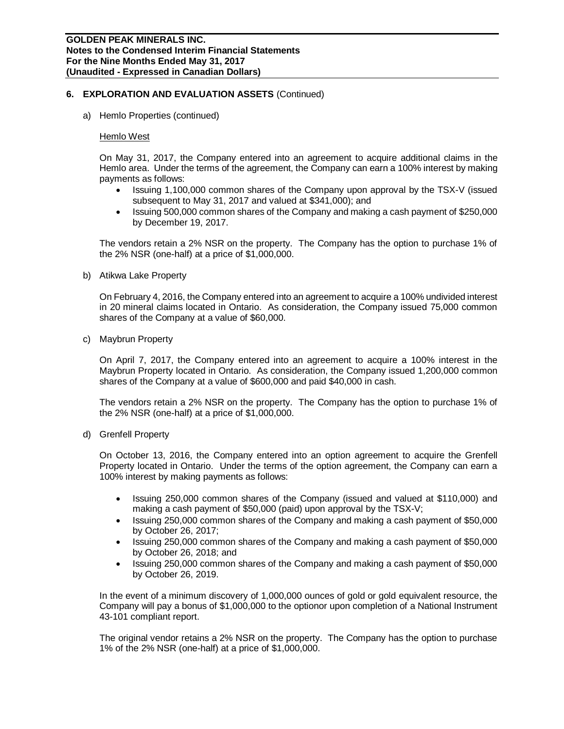a) Hemlo Properties (continued)

#### Hemlo West

On May 31, 2017, the Company entered into an agreement to acquire additional claims in the Hemlo area. Under the terms of the agreement, the Company can earn a 100% interest by making payments as follows:

- Issuing 1,100,000 common shares of the Company upon approval by the TSX-V (issued subsequent to May 31, 2017 and valued at \$341,000); and
- Issuing 500,000 common shares of the Company and making a cash payment of \$250,000 by December 19, 2017.

The vendors retain a 2% NSR on the property. The Company has the option to purchase 1% of the 2% NSR (one-half) at a price of \$1,000,000.

b) Atikwa Lake Property

On February 4, 2016, the Company entered into an agreement to acquire a 100% undivided interest in 20 mineral claims located in Ontario. As consideration, the Company issued 75,000 common shares of the Company at a value of \$60,000.

c) Maybrun Property

On April 7, 2017, the Company entered into an agreement to acquire a 100% interest in the Maybrun Property located in Ontario. As consideration, the Company issued 1,200,000 common shares of the Company at a value of \$600,000 and paid \$40,000 in cash.

The vendors retain a 2% NSR on the property. The Company has the option to purchase 1% of the 2% NSR (one-half) at a price of \$1,000,000.

d) Grenfell Property

On October 13, 2016, the Company entered into an option agreement to acquire the Grenfell Property located in Ontario. Under the terms of the option agreement, the Company can earn a 100% interest by making payments as follows:

- Issuing 250,000 common shares of the Company (issued and valued at \$110,000) and making a cash payment of \$50,000 (paid) upon approval by the TSX-V;
- Issuing 250,000 common shares of the Company and making a cash payment of \$50,000 by October 26, 2017;
- Issuing 250,000 common shares of the Company and making a cash payment of \$50,000 by October 26, 2018; and
- Issuing 250,000 common shares of the Company and making a cash payment of \$50,000 by October 26, 2019.

In the event of a minimum discovery of 1,000,000 ounces of gold or gold equivalent resource, the Company will pay a bonus of \$1,000,000 to the optionor upon completion of a National Instrument 43-101 compliant report.

The original vendor retains a 2% NSR on the property. The Company has the option to purchase 1% of the 2% NSR (one-half) at a price of \$1,000,000.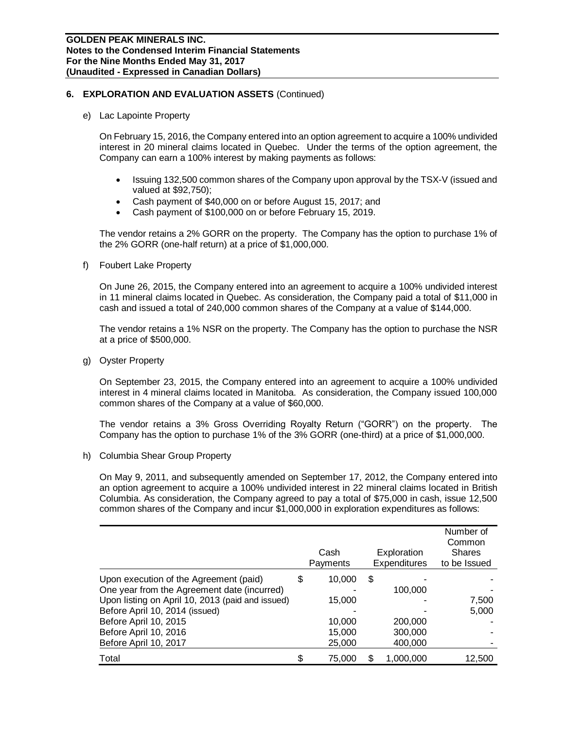e) Lac Lapointe Property

On February 15, 2016, the Company entered into an option agreement to acquire a 100% undivided interest in 20 mineral claims located in Quebec. Under the terms of the option agreement, the Company can earn a 100% interest by making payments as follows:

- Issuing 132,500 common shares of the Company upon approval by the TSX-V (issued and valued at \$92,750);
- Cash payment of \$40,000 on or before August 15, 2017; and
- Cash payment of \$100,000 on or before February 15, 2019.

The vendor retains a 2% GORR on the property. The Company has the option to purchase 1% of the 2% GORR (one-half return) at a price of \$1,000,000.

f) Foubert Lake Property

On June 26, 2015, the Company entered into an agreement to acquire a 100% undivided interest in 11 mineral claims located in Quebec. As consideration, the Company paid a total of \$11,000 in cash and issued a total of 240,000 common shares of the Company at a value of \$144,000.

The vendor retains a 1% NSR on the property. The Company has the option to purchase the NSR at a price of \$500,000.

g) Oyster Property

On September 23, 2015, the Company entered into an agreement to acquire a 100% undivided interest in 4 mineral claims located in Manitoba. As consideration, the Company issued 100,000 common shares of the Company at a value of \$60,000.

The vendor retains a 3% Gross Overriding Royalty Return ("GORR") on the property. The Company has the option to purchase 1% of the 3% GORR (one-third) at a price of \$1,000,000.

h) Columbia Shear Group Property

On May 9, 2011, and subsequently amended on September 17, 2012, the Company entered into an option agreement to acquire a 100% undivided interest in 22 mineral claims located in British Columbia. As consideration, the Company agreed to pay a total of \$75,000 in cash, issue 12,500 common shares of the Company and incur \$1,000,000 in exploration expenditures as follows:

|                                                                                       |    | Cash<br>Payments | Exploration<br><b>Expenditures</b> | Number of<br>Common<br><b>Shares</b><br>to be Issued |
|---------------------------------------------------------------------------------------|----|------------------|------------------------------------|------------------------------------------------------|
| Upon execution of the Agreement (paid)<br>One year from the Agreement date (incurred) | \$ | 10,000           | \$<br>100,000                      |                                                      |
| Upon listing on April 10, 2013 (paid and issued)                                      |    | 15,000           |                                    | 7,500                                                |
| Before April 10, 2014 (issued)                                                        |    |                  |                                    | 5,000                                                |
| Before April 10, 2015                                                                 |    | 10,000           | 200,000                            |                                                      |
| Before April 10, 2016                                                                 |    | 15,000           | 300,000                            |                                                      |
| Before April 10, 2017                                                                 |    | 25,000           | 400,000                            |                                                      |
| Total                                                                                 | S  | 75,000           | 1,000,000                          | 12,500                                               |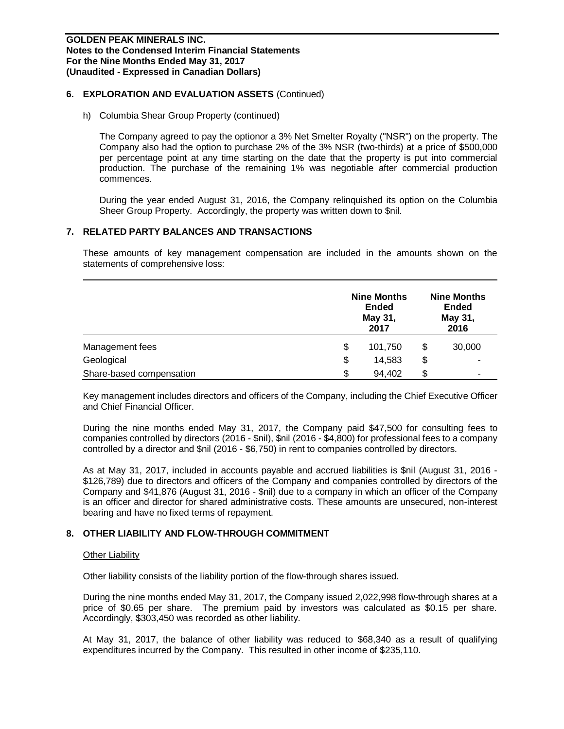h) Columbia Shear Group Property (continued)

The Company agreed to pay the optionor a 3% Net Smelter Royalty ("NSR") on the property. The Company also had the option to purchase 2% of the 3% NSR (two-thirds) at a price of \$500,000 per percentage point at any time starting on the date that the property is put into commercial production. The purchase of the remaining 1% was negotiable after commercial production commences.

During the year ended August 31, 2016, the Company relinquished its option on the Columbia Sheer Group Property. Accordingly, the property was written down to \$nil.

#### **7. RELATED PARTY BALANCES AND TRANSACTIONS**

These amounts of key management compensation are included in the amounts shown on the statements of comprehensive loss:

|                          | <b>Nine Months</b><br><b>Ended</b><br>May 31,<br>2017 |    |        |  |
|--------------------------|-------------------------------------------------------|----|--------|--|
| Management fees          | \$<br>101,750                                         | \$ | 30,000 |  |
| Geological               | \$<br>14,583                                          | \$ | ۰      |  |
| Share-based compensation | \$<br>94,402                                          | \$ | -      |  |

Key management includes directors and officers of the Company, including the Chief Executive Officer and Chief Financial Officer.

During the nine months ended May 31, 2017, the Company paid \$47,500 for consulting fees to companies controlled by directors (2016 - \$nil), \$nil (2016 - \$4,800) for professional fees to a company controlled by a director and \$nil (2016 - \$6,750) in rent to companies controlled by directors.

As at May 31, 2017, included in accounts payable and accrued liabilities is \$nil (August 31, 2016 - \$126,789) due to directors and officers of the Company and companies controlled by directors of the Company and \$41,876 (August 31, 2016 - \$nil) due to a company in which an officer of the Company is an officer and director for shared administrative costs. These amounts are unsecured, non-interest bearing and have no fixed terms of repayment.

# **8. OTHER LIABILITY AND FLOW-THROUGH COMMITMENT**

#### Other Liability

Other liability consists of the liability portion of the flow-through shares issued.

During the nine months ended May 31, 2017, the Company issued 2,022,998 flow-through shares at a price of \$0.65 per share. The premium paid by investors was calculated as \$0.15 per share. Accordingly, \$303,450 was recorded as other liability.

At May 31, 2017, the balance of other liability was reduced to \$68,340 as a result of qualifying expenditures incurred by the Company. This resulted in other income of \$235,110.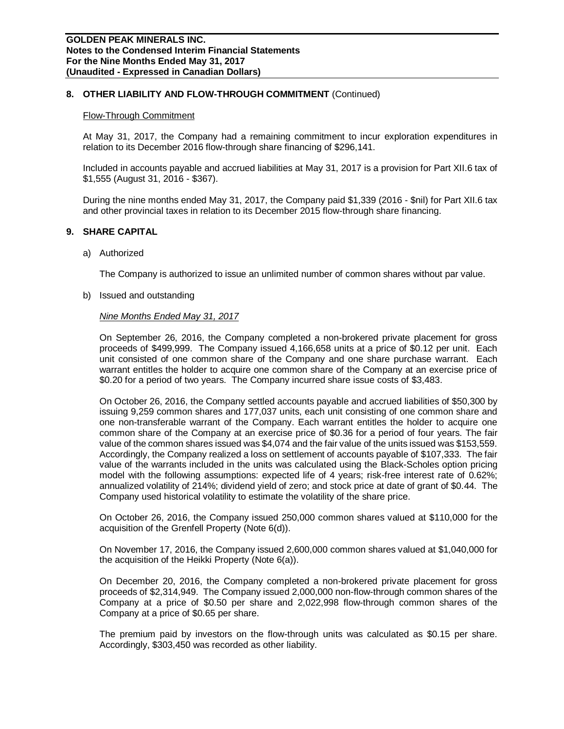### **8. OTHER LIABILITY AND FLOW-THROUGH COMMITMENT** (Continued)

#### Flow-Through Commitment

At May 31, 2017, the Company had a remaining commitment to incur exploration expenditures in relation to its December 2016 flow-through share financing of \$296,141.

Included in accounts payable and accrued liabilities at May 31, 2017 is a provision for Part XII.6 tax of \$1,555 (August 31, 2016 - \$367).

During the nine months ended May 31, 2017, the Company paid \$1,339 (2016 - \$nil) for Part XII.6 tax and other provincial taxes in relation to its December 2015 flow-through share financing.

#### **9. SHARE CAPITAL**

a) Authorized

The Company is authorized to issue an unlimited number of common shares without par value.

b) Issued and outstanding

#### *Nine Months Ended May 31, 2017*

On September 26, 2016, the Company completed a non-brokered private placement for gross proceeds of \$499,999. The Company issued 4,166,658 units at a price of \$0.12 per unit. Each unit consisted of one common share of the Company and one share purchase warrant. Each warrant entitles the holder to acquire one common share of the Company at an exercise price of \$0.20 for a period of two years. The Company incurred share issue costs of \$3,483.

On October 26, 2016, the Company settled accounts payable and accrued liabilities of \$50,300 by issuing 9,259 common shares and 177,037 units, each unit consisting of one common share and one non-transferable warrant of the Company. Each warrant entitles the holder to acquire one common share of the Company at an exercise price of \$0.36 for a period of four years. The fair value of the common shares issued was \$4,074 and the fair value of the units issued was \$153,559. Accordingly, the Company realized a loss on settlement of accounts payable of \$107,333. The fair value of the warrants included in the units was calculated using the Black-Scholes option pricing model with the following assumptions: expected life of 4 years; risk-free interest rate of 0.62%; annualized volatility of 214%; dividend yield of zero; and stock price at date of grant of \$0.44. The Company used historical volatility to estimate the volatility of the share price.

On October 26, 2016, the Company issued 250,000 common shares valued at \$110,000 for the acquisition of the Grenfell Property (Note 6(d)).

On November 17, 2016, the Company issued 2,600,000 common shares valued at \$1,040,000 for the acquisition of the Heikki Property (Note 6(a)).

On December 20, 2016, the Company completed a non-brokered private placement for gross proceeds of \$2,314,949. The Company issued 2,000,000 non-flow-through common shares of the Company at a price of \$0.50 per share and 2,022,998 flow-through common shares of the Company at a price of \$0.65 per share.

The premium paid by investors on the flow-through units was calculated as \$0.15 per share. Accordingly, \$303,450 was recorded as other liability.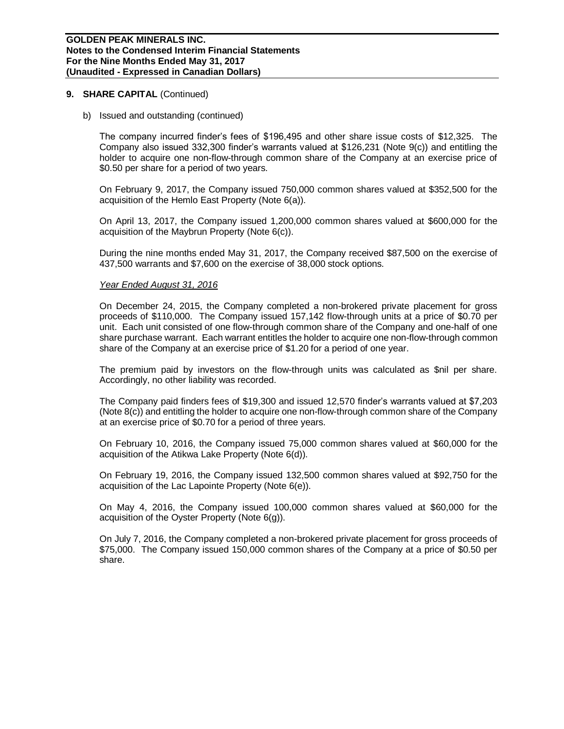#### **9. SHARE CAPITAL** (Continued)

b) Issued and outstanding (continued)

The company incurred finder's fees of \$196,495 and other share issue costs of \$12,325. The Company also issued 332,300 finder's warrants valued at \$126,231 (Note 9(c)) and entitling the holder to acquire one non-flow-through common share of the Company at an exercise price of \$0.50 per share for a period of two years.

On February 9, 2017, the Company issued 750,000 common shares valued at \$352,500 for the acquisition of the Hemlo East Property (Note 6(a)).

On April 13, 2017, the Company issued 1,200,000 common shares valued at \$600,000 for the acquisition of the Maybrun Property (Note 6(c)).

During the nine months ended May 31, 2017, the Company received \$87,500 on the exercise of 437,500 warrants and \$7,600 on the exercise of 38,000 stock options.

#### *Year Ended August 31, 2016*

On December 24, 2015, the Company completed a non-brokered private placement for gross proceeds of \$110,000. The Company issued 157,142 flow-through units at a price of \$0.70 per unit. Each unit consisted of one flow-through common share of the Company and one-half of one share purchase warrant. Each warrant entitles the holder to acquire one non-flow-through common share of the Company at an exercise price of \$1.20 for a period of one year.

The premium paid by investors on the flow-through units was calculated as \$nil per share. Accordingly, no other liability was recorded.

The Company paid finders fees of \$19,300 and issued 12,570 finder's warrants valued at \$7,203 (Note 8(c)) and entitling the holder to acquire one non-flow-through common share of the Company at an exercise price of \$0.70 for a period of three years.

On February 10, 2016, the Company issued 75,000 common shares valued at \$60,000 for the acquisition of the Atikwa Lake Property (Note 6(d)).

On February 19, 2016, the Company issued 132,500 common shares valued at \$92,750 for the acquisition of the Lac Lapointe Property (Note 6(e)).

On May 4, 2016, the Company issued 100,000 common shares valued at \$60,000 for the acquisition of the Oyster Property (Note 6(g)).

On July 7, 2016, the Company completed a non-brokered private placement for gross proceeds of \$75,000. The Company issued 150,000 common shares of the Company at a price of \$0.50 per share.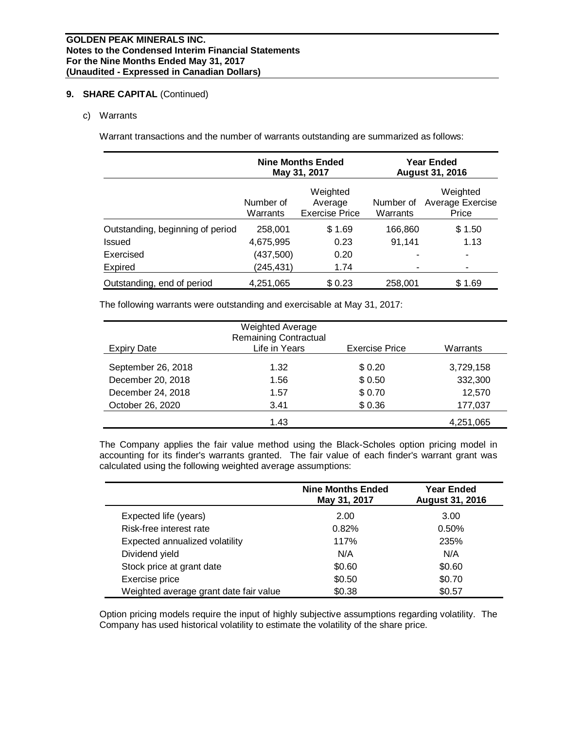# **9. SHARE CAPITAL** (Continued)

c) Warrants

Warrant transactions and the number of warrants outstanding are summarized as follows:

|                                  |                       | <b>Nine Months Ended</b><br>May 31, 2017     |                       | Year Ended<br><b>August 31, 2016</b>  |  |  |
|----------------------------------|-----------------------|----------------------------------------------|-----------------------|---------------------------------------|--|--|
|                                  | Number of<br>Warrants | Weighted<br>Average<br><b>Exercise Price</b> | Number of<br>Warrants | Weighted<br>Average Exercise<br>Price |  |  |
| Outstanding, beginning of period | 258,001               | \$1.69                                       | 166,860               | \$1.50                                |  |  |
| Issued                           | 4,675,995             | 0.23                                         | 91,141                | 1.13                                  |  |  |
| Exercised                        | (437,500)             | 0.20                                         |                       | ٠                                     |  |  |
| <b>Expired</b>                   | (245, 431)            | 1.74                                         |                       |                                       |  |  |
| Outstanding, end of period       | 4,251,065             | \$0.23                                       | 258,001               | \$1.69                                |  |  |

The following warrants were outstanding and exercisable at May 31, 2017:

| <b>Expiry Date</b> | <b>Weighted Average</b><br><b>Remaining Contractual</b><br>Life in Years | <b>Exercise Price</b> | Warrants  |
|--------------------|--------------------------------------------------------------------------|-----------------------|-----------|
|                    |                                                                          |                       |           |
| September 26, 2018 | 1.32                                                                     | \$0.20                | 3,729,158 |
| December 20, 2018  | 1.56                                                                     | \$0.50                | 332,300   |
| December 24, 2018  | 1.57                                                                     | \$0.70                | 12,570    |
| October 26, 2020   | 3.41                                                                     | \$0.36                | 177,037   |
|                    | 1.43                                                                     |                       | 4,251,065 |

The Company applies the fair value method using the Black-Scholes option pricing model in accounting for its finder's warrants granted. The fair value of each finder's warrant grant was calculated using the following weighted average assumptions:

|                                        | <b>Nine Months Ended</b><br>May 31, 2017 | <b>Year Ended</b><br><b>August 31, 2016</b> |
|----------------------------------------|------------------------------------------|---------------------------------------------|
| Expected life (years)                  | 2.00                                     | 3.00                                        |
| Risk-free interest rate                | 0.82%                                    | 0.50%                                       |
| Expected annualized volatility         | 117%                                     | 235%                                        |
| Dividend yield                         | N/A                                      | N/A                                         |
| Stock price at grant date              | \$0.60                                   | \$0.60                                      |
| Exercise price                         | \$0.50                                   | \$0.70                                      |
| Weighted average grant date fair value | \$0.38                                   | \$0.57                                      |

Option pricing models require the input of highly subjective assumptions regarding volatility. The Company has used historical volatility to estimate the volatility of the share price.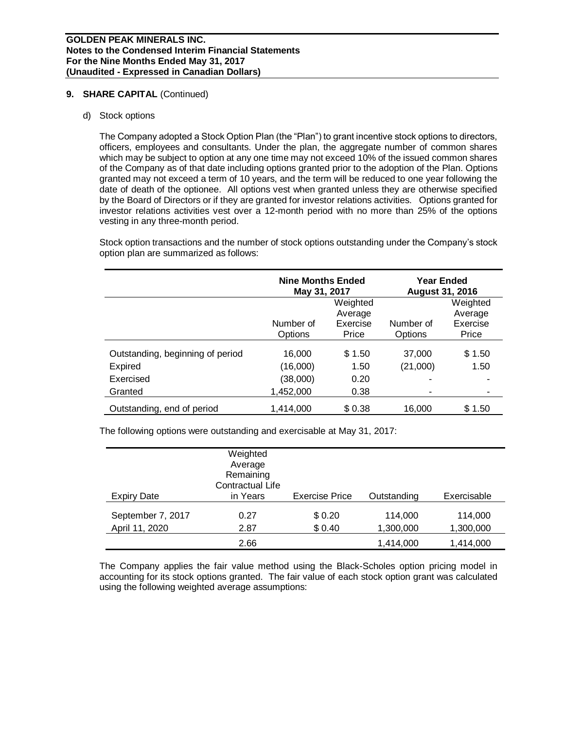### **9. SHARE CAPITAL** (Continued)

#### d) Stock options

The Company adopted a Stock Option Plan (the "Plan") to grant incentive stock options to directors, officers, employees and consultants. Under the plan, the aggregate number of common shares which may be subject to option at any one time may not exceed 10% of the issued common shares of the Company as of that date including options granted prior to the adoption of the Plan. Options granted may not exceed a term of 10 years, and the term will be reduced to one year following the date of death of the optionee. All options vest when granted unless they are otherwise specified by the Board of Directors or if they are granted for investor relations activities. Options granted for investor relations activities vest over a 12-month period with no more than 25% of the options vesting in any three-month period.

Stock option transactions and the number of stock options outstanding under the Company's stock option plan are summarized as follows:

|                                  | <b>Nine Months Ended</b><br>May 31, 2017 |                                          | Year Ended<br><b>August 31, 2016</b> |                                          |  |
|----------------------------------|------------------------------------------|------------------------------------------|--------------------------------------|------------------------------------------|--|
|                                  | Number of<br>Options                     | Weighted<br>Average<br>Exercise<br>Price | Number of<br>Options                 | Weighted<br>Average<br>Exercise<br>Price |  |
| Outstanding, beginning of period | 16,000                                   | \$1.50                                   | 37,000                               | \$1.50                                   |  |
| Expired                          | (16,000)                                 | 1.50                                     | (21,000)                             | 1.50                                     |  |
| Exercised                        | (38,000)                                 | 0.20                                     | -                                    |                                          |  |
| Granted                          | 1,452,000                                | 0.38                                     |                                      |                                          |  |
| Outstanding, end of period       | 1.414.000                                | \$0.38                                   | 16,000                               | \$1.50                                   |  |

The following options were outstanding and exercisable at May 31, 2017:

| <b>Expiry Date</b>                  | Weighted<br>Average<br>Remaining<br>Contractual Life<br>in Years | <b>Exercise Price</b> | Outstanding          | Exercisable          |
|-------------------------------------|------------------------------------------------------------------|-----------------------|----------------------|----------------------|
|                                     |                                                                  |                       |                      |                      |
| September 7, 2017<br>April 11, 2020 | 0.27<br>2.87                                                     | \$0.20<br>\$0.40      | 114,000<br>1,300,000 | 114.000<br>1,300,000 |
|                                     | 2.66                                                             |                       | 1,414,000            | 1,414,000            |

The Company applies the fair value method using the Black-Scholes option pricing model in accounting for its stock options granted. The fair value of each stock option grant was calculated using the following weighted average assumptions: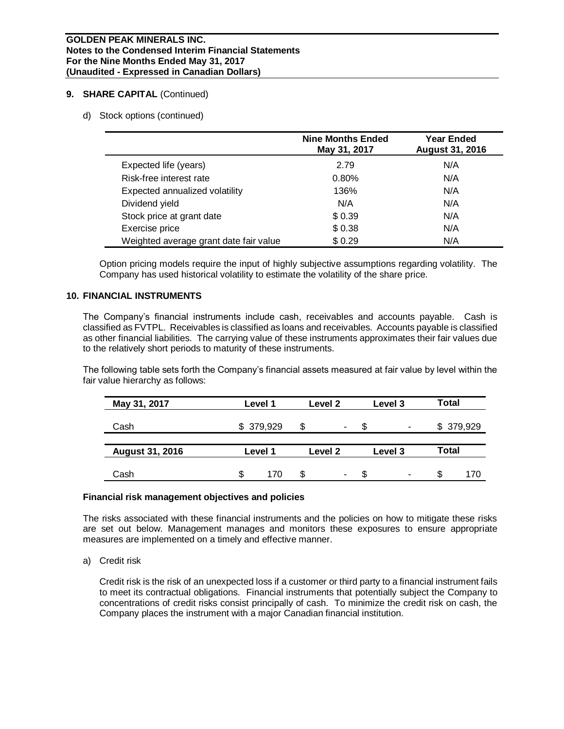#### **GOLDEN PEAK MINERALS INC. Notes to the Condensed Interim Financial Statements For the Nine Months Ended May 31, 2017 (Unaudited - Expressed in Canadian Dollars)**

# **9. SHARE CAPITAL** (Continued)

#### d) Stock options (continued)

|                                        | <b>Nine Months Ended</b><br>May 31, 2017 | Year Ended<br><b>August 31, 2016</b> |
|----------------------------------------|------------------------------------------|--------------------------------------|
| Expected life (years)                  | 2.79                                     | N/A                                  |
| Risk-free interest rate                | 0.80%                                    | N/A                                  |
| Expected annualized volatility         | 136%                                     | N/A                                  |
| Dividend yield                         | N/A                                      | N/A                                  |
| Stock price at grant date              | \$0.39                                   | N/A                                  |
| Exercise price                         | \$0.38                                   | N/A                                  |
| Weighted average grant date fair value | \$0.29                                   | N/A                                  |

Option pricing models require the input of highly subjective assumptions regarding volatility. The Company has used historical volatility to estimate the volatility of the share price.

### **10. FINANCIAL INSTRUMENTS**

The Company's financial instruments include cash, receivables and accounts payable. Cash is classified as FVTPL. Receivables is classified as loans and receivables. Accounts payable is classified as other financial liabilities. The carrying value of these instruments approximates their fair values due to the relatively short periods to maturity of these instruments.

The following table sets forth the Company's financial assets measured at fair value by level within the fair value hierarchy as follows:

| May 31, 2017           | Level 1   |     | Level 2 |   | Level 3 |   | <b>Total</b> |     |
|------------------------|-----------|-----|---------|---|---------|---|--------------|-----|
| Cash                   | \$379,929 |     | S<br>۰  |   | S<br>۰  |   | \$379,929    |     |
| <b>August 31, 2016</b> | Level 1   |     | Level 2 |   | Level 3 |   | Total        |     |
| Cash                   | \$        | 170 | \$      | ۰ | \$      | ۰ | S            | 170 |

#### **Financial risk management objectives and policies**

The risks associated with these financial instruments and the policies on how to mitigate these risks are set out below. Management manages and monitors these exposures to ensure appropriate measures are implemented on a timely and effective manner.

#### a) Credit risk

Credit risk is the risk of an unexpected loss if a customer or third party to a financial instrument fails to meet its contractual obligations. Financial instruments that potentially subject the Company to concentrations of credit risks consist principally of cash. To minimize the credit risk on cash, the Company places the instrument with a major Canadian financial institution.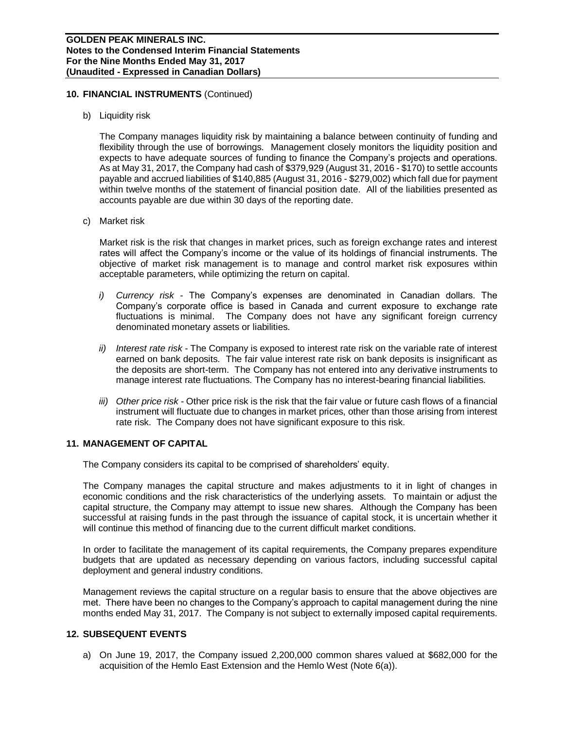### **10. FINANCIAL INSTRUMENTS** (Continued)

b) Liquidity risk

The Company manages liquidity risk by maintaining a balance between continuity of funding and flexibility through the use of borrowings. Management closely monitors the liquidity position and expects to have adequate sources of funding to finance the Company's projects and operations. As at May 31, 2017, the Company had cash of \$379,929 (August 31, 2016 - \$170) to settle accounts payable and accrued liabilities of \$140,885 (August 31, 2016 - \$279,002) which fall due for payment within twelve months of the statement of financial position date. All of the liabilities presented as accounts payable are due within 30 days of the reporting date.

c) Market risk

Market risk is the risk that changes in market prices, such as foreign exchange rates and interest rates will affect the Company's income or the value of its holdings of financial instruments. The objective of market risk management is to manage and control market risk exposures within acceptable parameters, while optimizing the return on capital.

- *i) Currency risk -* The Company's expenses are denominated in Canadian dollars. The Company's corporate office is based in Canada and current exposure to exchange rate fluctuations is minimal. The Company does not have any significant foreign currency denominated monetary assets or liabilities.
- *ii) Interest rate risk -* The Company is exposed to interest rate risk on the variable rate of interest earned on bank deposits. The fair value interest rate risk on bank deposits is insignificant as the deposits are short-term. The Company has not entered into any derivative instruments to manage interest rate fluctuations. The Company has no interest-bearing financial liabilities.
- *iii) Other price risk -* Other price risk is the risk that the fair value or future cash flows of a financial instrument will fluctuate due to changes in market prices, other than those arising from interest rate risk. The Company does not have significant exposure to this risk.

# **11. MANAGEMENT OF CAPITAL**

The Company considers its capital to be comprised of shareholders' equity.

The Company manages the capital structure and makes adjustments to it in light of changes in economic conditions and the risk characteristics of the underlying assets. To maintain or adjust the capital structure, the Company may attempt to issue new shares. Although the Company has been successful at raising funds in the past through the issuance of capital stock, it is uncertain whether it will continue this method of financing due to the current difficult market conditions.

In order to facilitate the management of its capital requirements, the Company prepares expenditure budgets that are updated as necessary depending on various factors, including successful capital deployment and general industry conditions.

Management reviews the capital structure on a regular basis to ensure that the above objectives are met. There have been no changes to the Company's approach to capital management during the nine months ended May 31, 2017. The Company is not subject to externally imposed capital requirements.

# **12. SUBSEQUENT EVENTS**

a) On June 19, 2017, the Company issued 2,200,000 common shares valued at \$682,000 for the acquisition of the Hemlo East Extension and the Hemlo West (Note 6(a)).